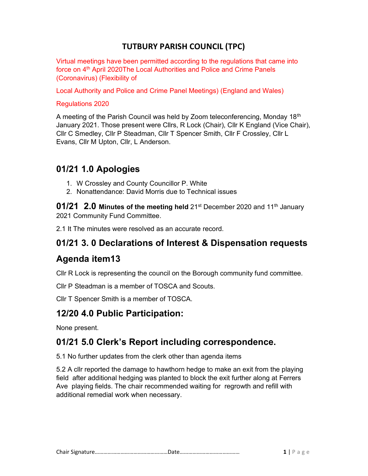### TUTBURY PARISH COUNCIL (TPC)

Virtual meetings have been permitted according to the regulations that came into force on 4<sup>th</sup> April 2020The Local Authorities and Police and Crime Panels (Coronavirus) (Flexibility of

Local Authority and Police and Crime Panel Meetings) (England and Wales)

#### Regulations 2020

A meeting of the Parish Council was held by Zoom teleconferencing, Monday 18<sup>th</sup> January 2021. Those present were Cllrs, R Lock (Chair), Cllr K England (Vice Chair), Cllr C Smedley, Cllr P Steadman, Cllr T Spencer Smith, Cllr F Crossley, Cllr L Evans, Cllr M Upton, Cllr, L Anderson.

### 01/21 1.0 Apologies

- 1. W Crossley and County Councillor P. White
- 2. Nonattendance: David Morris due to Technical issues

**01/21 2.0 Minutes of the meeting held** 21<sup>st</sup> December 2020 and 11<sup>th</sup> January 2021 Community Fund Committee.

2.1 It The minutes were resolved as an accurate record.

### 01/21 3. 0 Declarations of Interest & Dispensation requests

### Agenda item13

Cllr R Lock is representing the council on the Borough community fund committee.

Cllr P Steadman is a member of TOSCA and Scouts.

Cllr T Spencer Smith is a member of TOSCA.

### 12/20 4.0 Public Participation:

None present.

### 01/21 5.0 Clerk's Report including correspondence.

5.1 No further updates from the clerk other than agenda items

5.2 A cllr reported the damage to hawthorn hedge to make an exit from the playing field after additional hedging was planted to block the exit further along at Ferrers Ave playing fields. The chair recommended waiting for regrowth and refill with additional remedial work when necessary.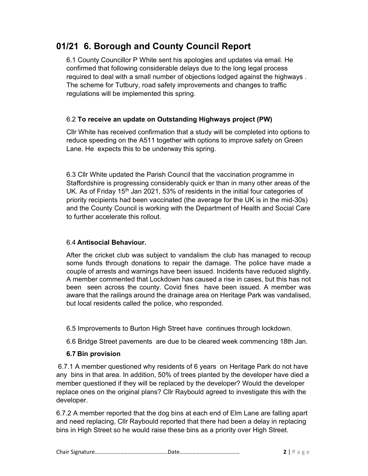# 01/21 6. Borough and County Council Report

6.1 County Councillor P White sent his apologies and updates via email. He confirmed that following considerable delays due to the long legal process required to deal with a small number of objections lodged against the highways . The scheme for Tutbury, road safety improvements and changes to traffic regulations will be implemented this spring.

#### 6.2 To receive an update on Outstanding Highways project (PW)

Cllr White has received confirmation that a study will be completed into options to reduce speeding on the A511 together with options to improve safety on Green Lane. He expects this to be underway this spring.

6.3 Cllr White updated the Parish Council that the vaccination programme in Staffordshire is progressing considerably quick er than in many other areas of the UK. As of Friday 15<sup>th</sup> Jan 2021, 53% of residents in the initial four categories of priority recipients had been vaccinated (the average for the UK is in the mid-30s) and the County Council is working with the Department of Health and Social Care to further accelerate this rollout.

#### 6.4 Antisocial Behaviour.

After the cricket club was subject to vandalism the club has managed to recoup some funds through donations to repair the damage. The police have made a couple of arrests and warnings have been issued. Incidents have reduced slightly. A member commented that Lockdown has caused a rise in cases, but this has not been seen across the county. Covid fines have been issued. A member was aware that the railings around the drainage area on Heritage Park was vandalised, but local residents called the police, who responded.

6.5 Improvements to Burton High Street have continues through lockdown.

6.6 Bridge Street pavements are due to be cleared week commencing 18th Jan.

### 6.7 Bin provision

 6.7.1 A member questioned why residents of 6 years on Heritage Park do not have any bins in that area. In addition, 50% of trees planted by the developer have died a member questioned if they will be replaced by the developer? Would the developer replace ones on the original plans? Cllr Raybould agreed to investigate this with the developer.

6.7.2 A member reported that the dog bins at each end of Elm Lane are falling apart and need replacing, Cllr Raybould reported that there had been a delay in replacing bins in High Street so he would raise these bins as a priority over High Street.

|--|--|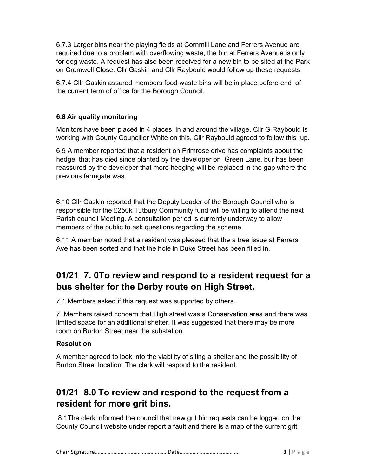6.7.3 Larger bins near the playing fields at Cornmill Lane and Ferrers Avenue are required due to a problem with overflowing waste, the bin at Ferrers Avenue is only for dog waste. A request has also been received for a new bin to be sited at the Park on Cromwell Close. Cllr Gaskin and Cllr Raybould would follow up these requests.

6.7.4 Cllr Gaskin assured members food waste bins will be in place before end of the current term of office for the Borough Council.

#### 6.8 Air quality monitoring

Monitors have been placed in 4 places in and around the village. Cllr G Raybould is working with County Councillor White on this, Cllr Raybould agreed to follow this up.

6.9 A member reported that a resident on Primrose drive has complaints about the hedge that has died since planted by the developer on Green Lane, bur has been reassured by the developer that more hedging will be replaced in the gap where the previous farmgate was.

6.10 Cllr Gaskin reported that the Deputy Leader of the Borough Council who is responsible for the £250k Tutbury Community fund will be willing to attend the next Parish council Meeting. A consultation period is currently underway to allow members of the public to ask questions regarding the scheme.

6.11 A member noted that a resident was pleased that the a tree issue at Ferrers Ave has been sorted and that the hole in Duke Street has been filled in.

# 01/21 7. 0To review and respond to a resident request for a bus shelter for the Derby route on High Street.

7.1 Members asked if this request was supported by others.

7. Members raised concern that High street was a Conservation area and there was limited space for an additional shelter. It was suggested that there may be more room on Burton Street near the substation.

#### Resolution

A member agreed to look into the viability of siting a shelter and the possibility of Burton Street location. The clerk will respond to the resident.

# 01/21 8.0 To review and respond to the request from a resident for more grit bins.

 8.1The clerk informed the council that new grit bin requests can be logged on the County Council website under report a fault and there is a map of the current grit

|--|--|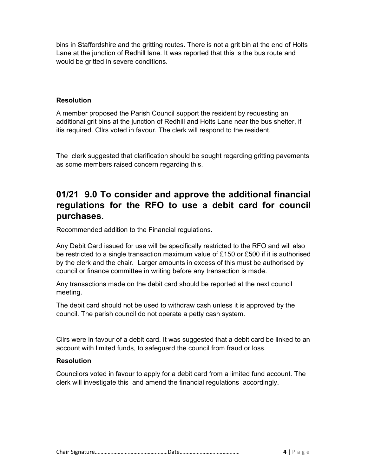bins in Staffordshire and the gritting routes. There is not a grit bin at the end of Holts Lane at the junction of Redhill lane. It was reported that this is the bus route and would be gritted in severe conditions.

#### **Resolution**

A member proposed the Parish Council support the resident by requesting an additional grit bins at the junction of Redhill and Holts Lane near the bus shelter, if itis required. Cllrs voted in favour. The clerk will respond to the resident.

The clerk suggested that clarification should be sought regarding gritting pavements as some members raised concern regarding this.

# 01/21 9.0 To consider and approve the additional financial regulations for the RFO to use a debit card for council purchases.

Recommended addition to the Financial regulations.

Any Debit Card issued for use will be specifically restricted to the RFO and will also be restricted to a single transaction maximum value of £150 or £500 if it is authorised by the clerk and the chair. Larger amounts in excess of this must be authorised by council or finance committee in writing before any transaction is made.

Any transactions made on the debit card should be reported at the next council meeting.

The debit card should not be used to withdraw cash unless it is approved by the council. The parish council do not operate a petty cash system.

Cllrs were in favour of a debit card. It was suggested that a debit card be linked to an account with limited funds, to safeguard the council from fraud or loss.

#### **Resolution**

Councilors voted in favour to apply for a debit card from a limited fund account. The clerk will investigate this and amend the financial regulations accordingly.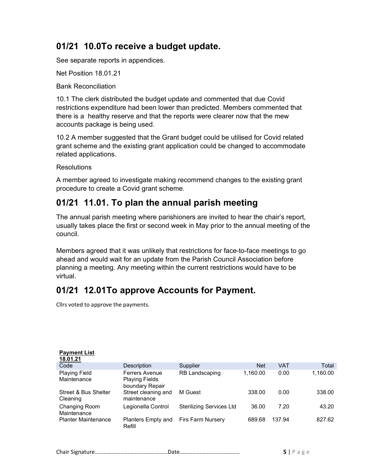# 01/21 10.0To receive a budget update.

See separate reports in appendices.

Net Position 18.01.21

Bank Reconciliation

10.1 The clerk distributed the budget update and commented that due Covid restrictions expenditure had been lower than predicted. Members commented that there is a healthy reserve and that the reports were clearer now that the mew accounts package is being used.

10.2 A member suggested that the Grant budget could be utilised for Covid related grant scheme and the existing grant application could be changed to accommodate related applications.

**Resolutions** 

A member agreed to investigate making recommend changes to the existing grant procedure to create a Covid grant scheme.

### 01/21 11.01. To plan the annual parish meeting

The annual parish meeting where parishioners are invited to hear the chair's report, usually takes place the first or second week in May prior to the annual meeting of the council.

Members agreed that it was unlikely that restrictions for face-to-face meetings to go ahead and would wait for an update from the Parish Council Association before planning a meeting. Any meeting within the current restrictions would have to be virtual.

# 01/21 12.01To approve Accounts for Payment.

Cllrs voted to approve the payments.

| <b>Payment List</b><br>18.01.21     |                                                                   |                                 |            |            |          |
|-------------------------------------|-------------------------------------------------------------------|---------------------------------|------------|------------|----------|
| Code                                | Description                                                       | Supplier                        | <b>Net</b> | <b>VAT</b> | Total    |
| <b>Playing Field</b><br>Maintenance | <b>Ferrers Avenue</b><br><b>Playing Fields</b><br>boundary Repair | RB Landscaping                  | 1,160.00   | 0.00       | 1,160.00 |
| Street & Bus Shelter<br>Cleaning    | Street cleaning and<br>maintenance                                | M Guest                         | 338.00     | 0.00       | 338.00   |
| Changing Room<br>Maintenance        | Legionella Control                                                | <b>Sterilizing Services Ltd</b> | 36.00      | 7.20       | 43.20    |
| <b>Planter Maintenance</b>          | Planters Empty and<br>Refill                                      | <b>Firs Farm Nursery</b>        | 689.68     | 137.94     | 827.62   |

|--|--|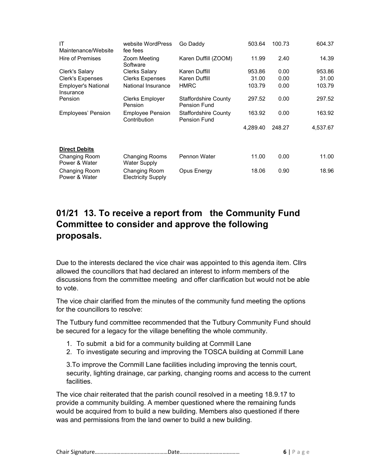| ΙT<br>Maintenance/Website               | website WordPress<br>fee fees              | Go Daddy                                           | 503.64   | 100.73 | 604.37   |
|-----------------------------------------|--------------------------------------------|----------------------------------------------------|----------|--------|----------|
| <b>Hire of Premises</b>                 | Zoom Meeting<br>Software                   | Karen Duffill (ZOOM)                               | 11.99    | 2.40   | 14.39    |
| Clerk's Salary                          | <b>Clerks Salary</b>                       | Karen Duffill                                      | 953.86   | 0.00   | 953.86   |
| Clerk's Expenses                        | <b>Clerks Expenses</b>                     | Karen Duffill                                      | 31.00    | 0.00   | 31.00    |
| <b>Employer's National</b><br>Insurance | National Insurance                         | <b>HMRC</b>                                        | 103.79   | 0.00   | 103.79   |
| Pension                                 | Clerks Employer<br>Pension                 | Staffordshire County<br>Pension Fund               | 297.52   | 0.00   | 297.52   |
| Employees' Pension                      | <b>Employee Pension</b><br>Contribution    | <b>Staffordshire County</b><br><b>Pension Fund</b> | 163.92   | 0.00   | 163.92   |
|                                         |                                            |                                                    | 4,289.40 | 248.27 | 4,537.67 |
| <b>Direct Debits</b>                    |                                            |                                                    |          |        |          |
| Changing Room<br>Power & Water          | Changing Rooms<br><b>Water Supply</b>      | Pennon Water                                       | 11.00    | 0.00   | 11.00    |
| Changing Room<br>Power & Water          | Changing Room<br><b>Electricity Supply</b> | Opus Energy                                        | 18.06    | 0.90   | 18.96    |

# 01/21 13. To receive a report from the Community Fund Committee to consider and approve the following proposals.

Due to the interests declared the vice chair was appointed to this agenda item. Cllrs allowed the councillors that had declared an interest to inform members of the discussions from the committee meeting and offer clarification but would not be able to vote.

The vice chair clarified from the minutes of the community fund meeting the options for the councillors to resolve:

The Tutbury fund committee recommended that the Tutbury Community Fund should be secured for a legacy for the village benefiting the whole community.

- 1. To submit a bid for a community building at Cornmill Lane
- 2. To investigate securing and improving the TOSCA building at Cornmill Lane

3.To improve the Cornmill Lane facilities including improving the tennis court, security, lighting drainage, car parking, changing rooms and access to the current facilities.

The vice chair reiterated that the parish council resolved in a meeting 18.9.17 to provide a community building. A member questioned where the remaining funds would be acquired from to build a new building. Members also questioned if there was and permissions from the land owner to build a new building.

|--|--|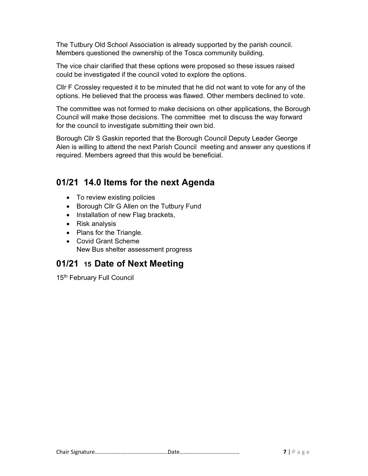The Tutbury Old School Association is already supported by the parish council. Members questioned the ownership of the Tosca community building.

The vice chair clarified that these options were proposed so these issues raised could be investigated if the council voted to explore the options.

Cllr F Crossley requested it to be minuted that he did not want to vote for any of the options. He believed that the process was flawed. Other members declined to vote.

The committee was not formed to make decisions on other applications, the Borough Council will make those decisions. The committee met to discuss the way forward for the council to investigate submitting their own bid.

Borough Cllr S Gaskin reported that the Borough Council Deputy Leader George Alen is willing to attend the next Parish Council meeting and answer any questions if required. Members agreed that this would be beneficial.

### 01/21 14.0 Items for the next Agenda

- To review existing policies
- Borough Cllr G Allen on the Tutbury Fund
- Installation of new Flag brackets,
- Risk analysis
- Plans for the Triangle.
- Covid Grant Scheme New Bus shelter assessment progress

# 01/21 15 Date of Next Meeting

15<sup>th</sup> February Full Council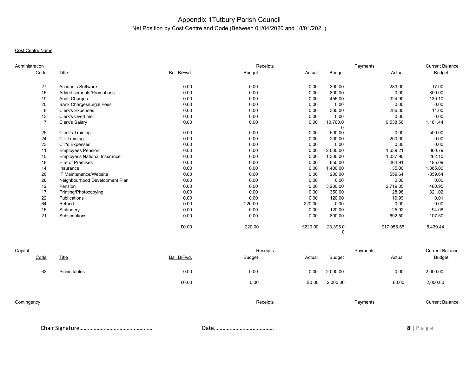#### Appendix 1Tutbury Parish Council Net Position by Cost Centre and Code (Between 01/04/2020 and 18/01/2021)

#### Cost Centre Name

| Administration |                                      |             | Receipts      |         |               | Payments   | <b>Current Balance</b> |
|----------------|--------------------------------------|-------------|---------------|---------|---------------|------------|------------------------|
| Code           | Title                                | Bal. B/Fwd. | <b>Budget</b> | Actual  | <b>Budget</b> | Actual     | <b>Budget</b>          |
| 27             | <b>Accounts Software</b>             | 0.00        | 0.00          | 0.00    | 300.00        | 283.00     | 17.00                  |
| 16             | Advertisements/Promotions            | 0.00        | 0.00          | 0.00    | 800.00        | 0.00       | 800.00                 |
| 19             | Audit Charges                        | 0.00        | 0.00          | 0.00    | 455.00        | 324.90     | 130.10                 |
| 20             | Bank Charges/Legal Fees              | 0.00        | 0.00          | 0.00    | 0.00          | 0.00       | 0.00                   |
| 8              | <b>Clerk's Expenses</b>              | 0.00        | 0.00          | 0.00    | 300.00        | 286.00     | 14.00                  |
| 13             | <b>Clerk's Overtime</b>              | 0.00        | 0.00          | 0.00    | 0.00          | 0.00       | 0.00                   |
|                | Clerk's Salary                       | 0.00        | 0.00          | 0.00    | 10,700.0      | 9,538.56   | 1,161.44               |
|                |                                      |             |               |         |               |            |                        |
| 25             | Clerk's Training                     | 0.00        | 0.00          | 0.00    | 500.00        | 0.00       | 500.00                 |
| 24             | <b>Cllr Training</b>                 | 0.00        | 0.00          | 0.00    | 200.00        | 200.00     | 0.00                   |
| 23             | Cllr's Expenses                      | 0.00        | 0.00          | 0.00    | 0.00          | 0.00       | 0.00                   |
| 11             | <b>Employees Pension</b>             | 0.00        | 0.00          | 0.00    | 2,000.00      | 1,639.21   | 360.79                 |
| 10             | <b>Employer's National Insurance</b> | 0.00        | 0.00          | 0.00    | 1,300.00      | 1,037.90   | 262.10                 |
| 18             | <b>Hire of Premises</b>              | 0.00        | 0.00          | 0.00    | 650.00        | 464.91     | 185.09                 |
| 14             | Insurance                            | 0.00        | 0.00          | 0.00    | 1,400.00      | 35.00      | 1,365.00               |
| 26             | IT Maintenance/Website               | 0.00        | 0.00          | 0.00    | 200.00        | 559.64     | $-359.64$              |
| 28             | Neighbourhood Development Plan       | 0.00        | 0.00          | 0.00    | 0.00          | 0.00       | 0.00                   |
| 12             | Pension                              | 0.00        | 0.00          | 0.00    | 3,200.00      | 2,719.05   | 480.95                 |
| 17             | Printing/Photocopying                | 0.00        | 0.00          | 0.00    | 350.00        | 28.98      | 321.02                 |
| 22             | <b>Publications</b>                  | 0.00        | 0.00          | 0.00    | 120.00        | 119.99     | 0.01                   |
| 64             | Refund                               | 0.00        | 220.00        | 220.00  | 0.00          | 0.00       | 0.00                   |
| 15             | Stationery                           | 0.00        | 0.00          | 0.00    | 120.00        | 25.92      | 94.08                  |
| 21             | Subscriptions                        | 0.00        | 0.00          | 0.00    | 800.00        | 692.50     | 107.50                 |
|                |                                      | £0.00       | 220.00        | £220.00 | 23,395.0      | £17,955.56 | 5,439.44               |

| Capital     |               |             |               | Receipts |               | Payments | <b>Current Balance</b> |
|-------------|---------------|-------------|---------------|----------|---------------|----------|------------------------|
| Code        | <b>Title</b>  | Bal. B/Fwd. | <b>Budget</b> | Actual   | <b>Budget</b> | Actual   | Budget                 |
| 63          | Picnic tables | 0.00        | 0.00          | 0.00     | 2,000.00      | 0.00     | 2,000.00               |
|             |               | £0.00       | 0.00          | £0.00    | 2,000.00      | £0.00    | 2,000.00               |
| Contingency |               |             |               | Receipts |               | Payments | <b>Current Balance</b> |

Chair Signature…………………………………………… Date…………………………………… 8 | P a g e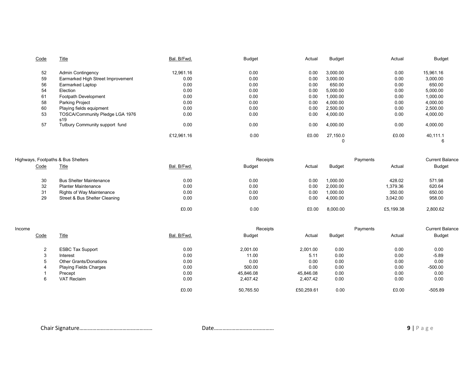| Code | <u>Title</u>                           | Bal. B/Fwd. | <b>Budget</b> | Actual | Budget        | Actual | Budget        |
|------|----------------------------------------|-------------|---------------|--------|---------------|--------|---------------|
| 52   | <b>Admin Contingency</b>               | 12,961.16   | 0.00          | 0.00   | 3.000.00      | 0.00   | 15,961.16     |
| 59   | Earmarked High Street Improvement      | 0.00        | 0.00          | 0.00   | 3.000.00      | 0.00   | 3,000.00      |
| 56   | Earmarked Laptop                       | 0.00        | 0.00          | 0.00   | 650.00        | 0.00   | 650.00        |
| 54   | Election                               | 0.00        | 0.00          | 0.00   | 5,000.00      | 0.00   | 5,000.00      |
| 61   | Footpath Development                   | 0.00        | 0.00          | 0.00   | 1,000.00      | 0.00   | 1,000.00      |
| 58   | <b>Parking Project</b>                 | 0.00        | 0.00          | 0.00   | 4,000.00      | 0.00   | 4,000.00      |
| 60   | Playing fields equipment               | 0.00        | 0.00          | 0.00   | 2,500.00      | 0.00   | 2,500.00      |
| 53   | TOSCA/Community Pledge LGA 1976<br>s19 | 0.00        | 0.00          | 0.00   | 4,000.00      | 0.00   | 4,000.00      |
| 57   | Tutbury Community support fund         | 0.00        | 0.00          | 0.00   | 4,000.00      | 0.00   | 4,000.00      |
|      |                                        | £12,961.16  | 0.00          | £0.00  | 27,150.0<br>0 | £0.00  | 40,111.1<br>6 |

|             | Highways, Footpaths & Bus Shelters |             | Receipts |        |               | Payments  | <b>Current Balance</b> |
|-------------|------------------------------------|-------------|----------|--------|---------------|-----------|------------------------|
| <u>Code</u> | <b>Title</b>                       | Bal. B/Fwd. | Budget   | Actual | <b>Budget</b> | Actual    | <b>Budget</b>          |
| 30          | <b>Bus Shelter Maintenance</b>     | 0.00        | 0.00     | 0.00   | 1.000.00      | 428.02    | 571.98                 |
| 32          | <b>Planter Maintenance</b>         | 0.00        | 0.00     | 0.00   | 2,000.00      | 1,379.36  | 620.64                 |
| 31          | Rights of Way Maintenance          | 0.00        | 0.00     | 0.00   | 1.000.00      | 350.00    | 650.00                 |
| 29          | Street & Bus Shelter Cleaning      | 0.00        | 0.00     | 0.00   | 4.000.00      | 3.042.00  | 958.00                 |
|             |                                    | £0.00       | 0.00     | £0.00  | 8.000.00      | £5,199.38 | 2.800.62               |

| Income |                               |             | Receipts  |            |               | Payments | <b>Current Balance</b> |
|--------|-------------------------------|-------------|-----------|------------|---------------|----------|------------------------|
| Code   | <b>Title</b>                  | Bal. B/Fwd. | Budget    | Actual     | <b>Budget</b> | Actual   | Budget                 |
| $\sim$ | <b>ESBC Tax Support</b>       | 0.00        | 2,001.00  | 2,001.00   | 0.00          | 0.00     | 0.00                   |
| $\sim$ | Interest                      | 0.00        | 11.00     | 5.11       | 0.00          | 0.00     | $-5.89$                |
|        | <b>Other Grants/Donations</b> | 0.00        | 0.00      | 0.00       | 0.00          | 0.00     | 0.00                   |
|        | <b>Playing Fields Charges</b> | 0.00        | 500.00    | 0.00       | 0.00          | 0.00     | $-500.00$              |
|        | Precept                       | 0.00        | 45,846.08 | 45,846.08  | 0.00          | 0.00     | 0.00                   |
| 6      | <b>VAT Reclaim</b>            | 0.00        | 2,407.42  | 2,407.42   | 0.00          | 0.00     | 0.00                   |
|        |                               | £0.00       | 50,765.50 | £50,259.61 | 0.00          | £0.00    | $-505.89$              |

Chair Signature…………………………………………… Date…………………………………… 9 | P a g e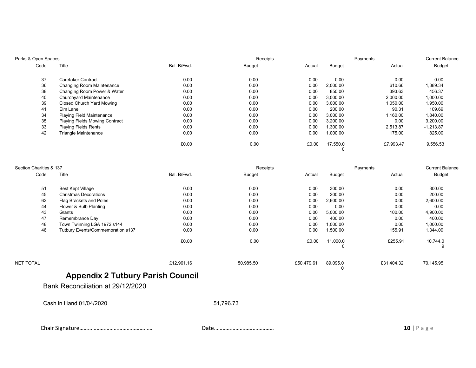| Parks & Open Spaces |                                       |             | Receipts |        |          | Payments  | <b>Current Balance</b> |
|---------------------|---------------------------------------|-------------|----------|--------|----------|-----------|------------------------|
| Code                | <b>Title</b>                          | Bal. B/Fwd. | Budget   | Actual | Budget   | Actual    | <b>Budget</b>          |
| 37                  | Caretaker Contract                    | 0.00        | 0.00     | 0.00   | 0.00     | 0.00      | 0.00                   |
| 36                  | Changing Room Maintenance             | 0.00        | 0.00     | 0.00   | 2,000.00 | 610.66    | 1,389.34               |
| 38                  | Changing Room Power & Water           | 0.00        | 0.00     | 0.00   | 850.00   | 393.63    | 456.37                 |
| 40                  | Churchyard Maintenance                | 0.00        | 0.00     | 0.00   | 3,000.00 | 2,000.00  | 1,000.00               |
| 39                  | Closed Church Yard Mowing             | 0.00        | 0.00     | 0.00   | 3,000.00 | 1,050.00  | 1,950.00               |
| 41                  | Elm Lane                              | 0.00        | 0.00     | 0.00   | 200.00   | 90.31     | 109.69                 |
| 34                  | <b>Playing Field Maintenance</b>      | 0.00        | 0.00     | 0.00   | 3,000.00 | 1,160.00  | 1,840.00               |
| 35                  | <b>Playing Fields Mowing Contract</b> | 0.00        | 0.00     | 0.00   | 3,200.00 | 0.00      | 3,200.00               |
| 33                  | <b>Playing Fields Rents</b>           | 0.00        | 0.00     | 0.00   | 1,300.00 | 2,513.87  | $-1,213.87$            |
| 42                  | <b>Triangle Maintenance</b>           | 0.00        | 0.00     | 0.00   | 1,000.00 | 175.00    | 825.00                 |
|                     |                                       | £0.00       | 0.00     | £0.00  | 17,550.0 | £7,993.47 | 9,556.53               |

| Section Charities & 137 |                                   | Receipts    |               |            | Payments      |            | <b>Current Balance</b> |  |
|-------------------------|-----------------------------------|-------------|---------------|------------|---------------|------------|------------------------|--|
| Code                    | <b>Title</b>                      | Bal. B/Fwd. | <b>Budget</b> | Actual     | Budget        | Actual     | <b>Budget</b>          |  |
| 51                      | Best Kept Village                 | 0.00        | 0.00          | 0.00       | 300.00        | 0.00       | 300.00                 |  |
| 45                      | <b>Christmas Decorations</b>      | 0.00        | 0.00          | 0.00       | 200.00        | 0.00       | 200.00                 |  |
| 62                      | Flag Brackets and Poles           | 0.00        | 0.00          | 0.00       | 2,600.00      | 0.00       | 2,600.00               |  |
| 44                      | Flower & Bulb Planting            | 0.00        | 0.00          | 0.00       | 0.00          | 0.00       | 0.00                   |  |
| 43                      | Grants                            | 0.00        | 0.00          | 0.00       | 5,000.00      | 100.00     | 4,900.00               |  |
| 47                      | Remembrance Day                   | 0.00        | 0.00          | 0.00       | 400.00        | 0.00       | 400.00                 |  |
| 48                      | Town Twinning LGA 1972 s144       | 0.00        | 0.00          | 0.00       | 1,000.00      | 0.00       | 1,000.00               |  |
| 46                      | Tutbury Events/Commemoration s137 | 0.00        | 0.00          | 0.00       | 1,500.00      | 155.91     | 1,344.09               |  |
|                         |                                   | £0.00       | 0.00          | £0.00      | 11,000.0<br>0 | £255.91    | 10,744.0<br>9          |  |
| NET TOTAL               |                                   | £12,961.16  | 50,985.50     | £50,479.61 | 89,095.0      | £31,404.32 | 70,145.95              |  |

# Appendix 2 Tutbury Parish Council

Bank Reconciliation at 29/12/2020

Cash in Hand 01/04/2020 51,796.73

Chair Signature…………………………………………… Date…………………………………… 10 | P a g e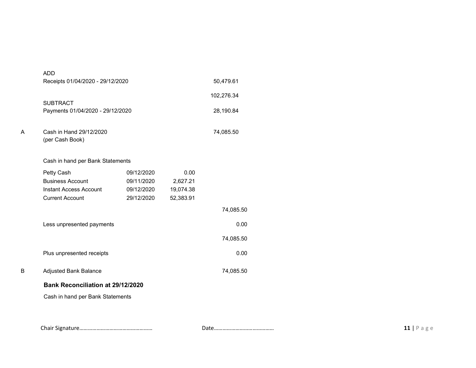|   | <b>ADD</b>                                 |            |           |            |  |  |
|---|--------------------------------------------|------------|-----------|------------|--|--|
|   | Receipts 01/04/2020 - 29/12/2020           |            |           | 50,479.61  |  |  |
|   |                                            |            |           | 102,276.34 |  |  |
|   | <b>SUBTRACT</b>                            |            |           |            |  |  |
|   | Payments 01/04/2020 - 29/12/2020           |            |           | 28,190.84  |  |  |
| A | Cash in Hand 29/12/2020<br>(per Cash Book) |            |           | 74,085.50  |  |  |
|   | Cash in hand per Bank Statements           |            |           |            |  |  |
|   | Petty Cash                                 | 09/12/2020 | 0.00      |            |  |  |
|   | <b>Business Account</b>                    | 09/11/2020 | 2,627.21  |            |  |  |
|   | Instant Access Account                     | 09/12/2020 | 19,074.38 |            |  |  |
|   | <b>Current Account</b>                     | 29/12/2020 | 52,383.91 |            |  |  |
|   |                                            |            |           | 74,085.50  |  |  |
|   | Less unpresented payments                  |            |           | 0.00       |  |  |
|   |                                            |            |           | 74,085.50  |  |  |
|   | Plus unpresented receipts                  |            |           | 0.00       |  |  |
| B | <b>Adjusted Bank Balance</b>               |            |           | 74,085.50  |  |  |
|   | <b>Bank Reconciliation at 29/12/2020</b>   |            |           |            |  |  |
|   | Cash in hand per Bank Statements           |            |           |            |  |  |
|   |                                            |            |           |            |  |  |

Chair Signature…………………………………………… Date…………………………………… 11 | P a g e